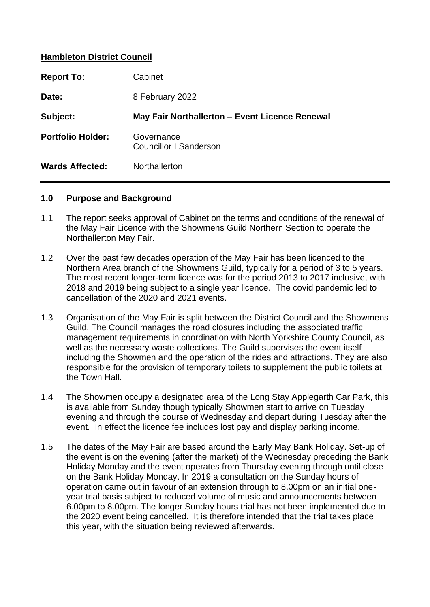# **Hambleton District Council**

| <b>Report To:</b>        | Cabinet                                        |
|--------------------------|------------------------------------------------|
| Date:                    | 8 February 2022                                |
| Subject:                 | May Fair Northallerton - Event Licence Renewal |
| <b>Portfolio Holder:</b> | Governance<br><b>Councillor I Sanderson</b>    |
| <b>Wards Affected:</b>   | Northallerton                                  |

#### **1.0 Purpose and Background**

- 1.1 The report seeks approval of Cabinet on the terms and conditions of the renewal of the May Fair Licence with the Showmens Guild Northern Section to operate the Northallerton May Fair.
- 1.2 Over the past few decades operation of the May Fair has been licenced to the Northern Area branch of the Showmens Guild, typically for a period of 3 to 5 years. The most recent longer-term licence was for the period 2013 to 2017 inclusive, with 2018 and 2019 being subject to a single year licence. The covid pandemic led to cancellation of the 2020 and 2021 events.
- 1.3 Organisation of the May Fair is split between the District Council and the Showmens Guild. The Council manages the road closures including the associated traffic management requirements in coordination with North Yorkshire County Council, as well as the necessary waste collections. The Guild supervises the event itself including the Showmen and the operation of the rides and attractions. They are also responsible for the provision of temporary toilets to supplement the public toilets at the Town Hall.
- 1.4 The Showmen occupy a designated area of the Long Stay Applegarth Car Park, this is available from Sunday though typically Showmen start to arrive on Tuesday evening and through the course of Wednesday and depart during Tuesday after the event. In effect the licence fee includes lost pay and display parking income.
- 1.5 The dates of the May Fair are based around the Early May Bank Holiday. Set-up of the event is on the evening (after the market) of the Wednesday preceding the Bank Holiday Monday and the event operates from Thursday evening through until close on the Bank Holiday Monday. In 2019 a consultation on the Sunday hours of operation came out in favour of an extension through to 8.00pm on an initial oneyear trial basis subject to reduced volume of music and announcements between 6.00pm to 8.00pm. The longer Sunday hours trial has not been implemented due to the 2020 event being cancelled. It is therefore intended that the trial takes place this year, with the situation being reviewed afterwards.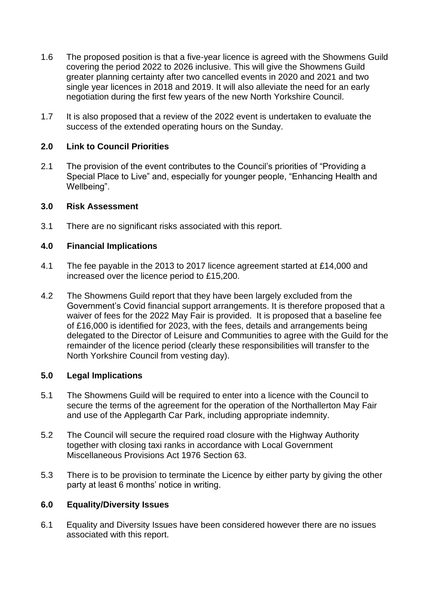- 1.6 The proposed position is that a five-year licence is agreed with the Showmens Guild covering the period 2022 to 2026 inclusive. This will give the Showmens Guild greater planning certainty after two cancelled events in 2020 and 2021 and two single year licences in 2018 and 2019. It will also alleviate the need for an early negotiation during the first few years of the new North Yorkshire Council.
- 1.7 It is also proposed that a review of the 2022 event is undertaken to evaluate the success of the extended operating hours on the Sunday.

# **2.0 Link to Council Priorities**

2.1 The provision of the event contributes to the Council's priorities of "Providing a Special Place to Live" and, especially for younger people, "Enhancing Health and Wellbeing".

### **3.0 Risk Assessment**

3.1 There are no significant risks associated with this report.

### **4.0 Financial Implications**

- 4.1 The fee payable in the 2013 to 2017 licence agreement started at £14,000 and increased over the licence period to £15,200.
- 4.2 The Showmens Guild report that they have been largely excluded from the Government's Covid financial support arrangements. It is therefore proposed that a waiver of fees for the 2022 May Fair is provided. It is proposed that a baseline fee of £16,000 is identified for 2023, with the fees, details and arrangements being delegated to the Director of Leisure and Communities to agree with the Guild for the remainder of the licence period (clearly these responsibilities will transfer to the North Yorkshire Council from vesting day).

# **5.0 Legal Implications**

- 5.1 The Showmens Guild will be required to enter into a licence with the Council to secure the terms of the agreement for the operation of the Northallerton May Fair and use of the Applegarth Car Park, including appropriate indemnity.
- 5.2 The Council will secure the required road closure with the Highway Authority together with closing taxi ranks in accordance with Local Government Miscellaneous Provisions Act 1976 Section 63.
- 5.3 There is to be provision to terminate the Licence by either party by giving the other party at least 6 months' notice in writing.

### **6.0 Equality/Diversity Issues**

6.1 Equality and Diversity Issues have been considered however there are no issues associated with this report.